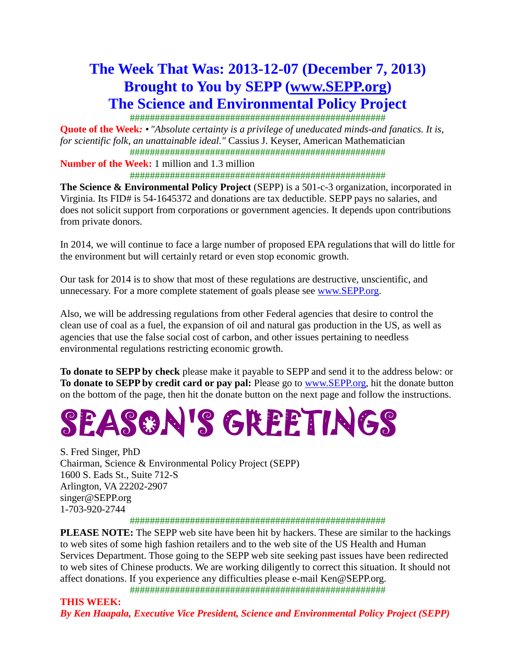## **The Week That Was: 2013-12-07 (December 7, 2013) Brought to You by SEPP [\(www.SEPP.org\)](http://www.sepp.org/) The Science and Environmental Policy Project**

###################################################

**Quote of the Week***: • "Absolute certainty is a privilege of uneducated minds-and fanatics. It is, for scientific folk, an unattainable ideal."* Cassius J. Keyser, American Mathematician ###################################################

**Number of the Week:** 1 million and 1.3 million ###################################################

**The Science & Environmental Policy Project** (SEPP) is a 501-c-3 organization, incorporated in Virginia. Its FID# is 54-1645372 and donations are tax deductible. SEPP pays no salaries, and does not solicit support from corporations or government agencies. It depends upon contributions from private donors.

In 2014, we will continue to face a large number of proposed EPA regulationsthat will do little for the environment but will certainly retard or even stop economic growth.

Our task for 2014 is to show that most of these regulations are destructive, unscientific, and unnecessary. For a more complete statement of goals please see [www.SEPP.org.](http://www.sepp.org/)

Also, we will be addressing regulations from other Federal agencies that desire to control the clean use of coal as a fuel, the expansion of oil and natural gas production in the US, as well as agencies that use the false social cost of carbon, and other issues pertaining to needless environmental regulations restricting economic growth.

**To donate to SEPP by check** please make it payable to SEPP and send it to the address below: or **To donate to SEPP by credit card or pay pal:** Please go to [www.SEPP.org,](http://www.sepp.org/) hit the donate button on the bottom of the page, then hit the donate button on the next page and follow the instructions.

# SEASON'S GREETINGS

S. Fred Singer, PhD Chairman, Science & Environmental Policy Project (SEPP) 1600 S. Eads St., Suite 712-S Arlington, VA 22202-2907 singer@SEPP.org 1-703-920-2744

###################################################

**PLEASE NOTE:** The SEPP web site have been hit by hackers. These are similar to the hackings to web sites of some high fashion retailers and to the web site of the US Health and Human Services Department. Those going to the SEPP web site seeking past issues have been redirected to web sites of Chinese products. We are working diligently to correct this situation. It should not affect donations. If you experience any difficulties please e-mail Ken@SEPP.org.

###################################################

## **THIS WEEK:** *By Ken Haapala, Executive Vice President, Science and Environmental Policy Project (SEPP)*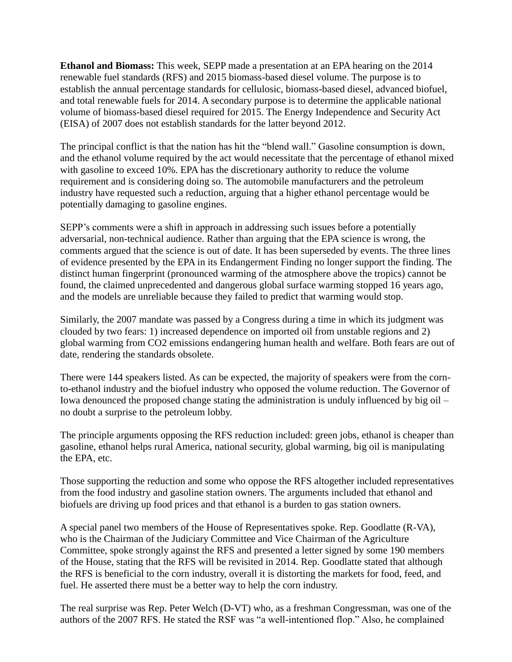**Ethanol and Biomass:** This week, SEPP made a presentation at an EPA hearing on the 2014 renewable fuel standards (RFS) and 2015 biomass-based diesel volume. The purpose is to establish the annual percentage standards for cellulosic, biomass-based diesel, advanced biofuel, and total renewable fuels for 2014. A secondary purpose is to determine the applicable national volume of biomass-based diesel required for 2015. The Energy Independence and Security Act (EISA) of 2007 does not establish standards for the latter beyond 2012.

The principal conflict is that the nation has hit the "blend wall." Gasoline consumption is down, and the ethanol volume required by the act would necessitate that the percentage of ethanol mixed with gasoline to exceed 10%. EPA has the discretionary authority to reduce the volume requirement and is considering doing so. The automobile manufacturers and the petroleum industry have requested such a reduction, arguing that a higher ethanol percentage would be potentially damaging to gasoline engines.

SEPP's comments were a shift in approach in addressing such issues before a potentially adversarial, non-technical audience. Rather than arguing that the EPA science is wrong, the comments argued that the science is out of date. It has been superseded by events. The three lines of evidence presented by the EPA in its Endangerment Finding no longer support the finding. The distinct human fingerprint (pronounced warming of the atmosphere above the tropics) cannot be found, the claimed unprecedented and dangerous global surface warming stopped 16 years ago, and the models are unreliable because they failed to predict that warming would stop.

Similarly, the 2007 mandate was passed by a Congress during a time in which its judgment was clouded by two fears: 1) increased dependence on imported oil from unstable regions and 2) global warming from CO2 emissions endangering human health and welfare. Both fears are out of date, rendering the standards obsolete.

There were 144 speakers listed. As can be expected, the majority of speakers were from the cornto-ethanol industry and the biofuel industry who opposed the volume reduction. The Governor of Iowa denounced the proposed change stating the administration is unduly influenced by big oil – no doubt a surprise to the petroleum lobby.

The principle arguments opposing the RFS reduction included: green jobs, ethanol is cheaper than gasoline, ethanol helps rural America, national security, global warming, big oil is manipulating the EPA, etc.

Those supporting the reduction and some who oppose the RFS altogether included representatives from the food industry and gasoline station owners. The arguments included that ethanol and biofuels are driving up food prices and that ethanol is a burden to gas station owners.

A special panel two members of the House of Representatives spoke. Rep. Goodlatte (R-VA), who is the Chairman of the Judiciary Committee and Vice Chairman of the Agriculture Committee, spoke strongly against the RFS and presented a letter signed by some 190 members of the House, stating that the RFS will be revisited in 2014. Rep. Goodlatte stated that although the RFS is beneficial to the corn industry, overall it is distorting the markets for food, feed, and fuel. He asserted there must be a better way to help the corn industry.

The real surprise was Rep. Peter Welch (D-VT) who, as a freshman Congressman, was one of the authors of the 2007 RFS. He stated the RSF was "a well-intentioned flop." Also, he complained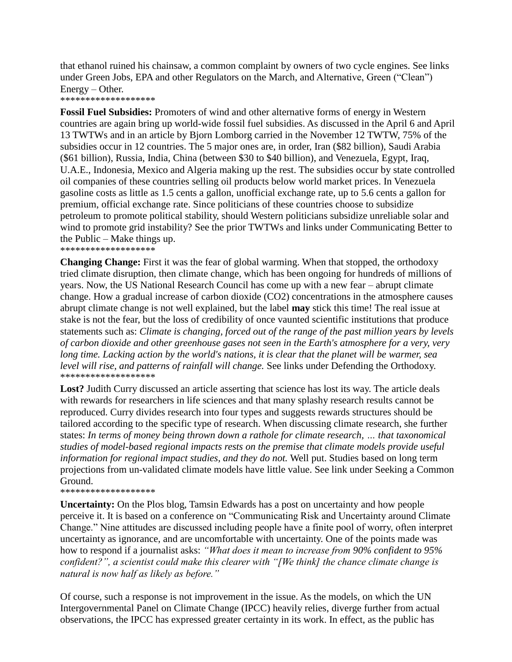that ethanol ruined his chainsaw, a common complaint by owners of two cycle engines. See links under Green Jobs, EPA and other Regulators on the March, and Alternative, Green ("Clean") Energy – Other.

\*\*\*\*\*\*\*\*\*\*\*\*\*\*\*\*\*\*\*

**Fossil Fuel Subsidies:** Promoters of wind and other alternative forms of energy in Western countries are again bring up world-wide fossil fuel subsidies. As discussed in the April 6 and April 13 TWTWs and in an article by Bjorn Lomborg carried in the November 12 TWTW, 75% of the subsidies occur in 12 countries. The 5 major ones are, in order, Iran (\$82 billion), Saudi Arabia (\$61 billion), Russia, India, China (between \$30 to \$40 billion), and Venezuela, Egypt, Iraq, U.A.E., Indonesia, Mexico and Algeria making up the rest. The subsidies occur by state controlled oil companies of these countries selling oil products below world market prices. In Venezuela gasoline costs as little as 1.5 cents a gallon, unofficial exchange rate, up to 5.6 cents a gallon for premium, official exchange rate. Since politicians of these countries choose to subsidize petroleum to promote political stability, should Western politicians subsidize unreliable solar and wind to promote grid instability? See the prior TWTWs and links under Communicating Better to the Public – Make things up.

\*\*\*\*\*\*\*\*\*\*\*\*\*\*\*\*\*\*\*

**Changing Change:** First it was the fear of global warming. When that stopped, the orthodoxy tried climate disruption, then climate change, which has been ongoing for hundreds of millions of years. Now, the US National Research Council has come up with a new fear – abrupt climate change. How a gradual increase of carbon dioxide (CO2) concentrations in the atmosphere causes abrupt climate change is not well explained, but the label **may** stick this time! The real issue at stake is not the fear, but the loss of credibility of once vaunted scientific institutions that produce statements such as: *Climate is changing, forced out of the range of the past million years by levels of carbon dioxide and other greenhouse gases not seen in the Earth's atmosphere for a very, very long time. Lacking action by the world's nations, it is clear that the planet will be warmer, sea level will rise, and patterns of rainfall will change.* See links under Defending the Orthodoxy. \*\*\*\*\*\*\*\*\*\*\*\*\*\*\*\*\*\*\*

Lost? Judith Curry discussed an article asserting that science has lost its way. The article deals with rewards for researchers in life sciences and that many splashy research results cannot be reproduced. Curry divides research into four types and suggests rewards structures should be tailored according to the specific type of research. When discussing climate research, she further states: *In terms of money being thrown down a rathole for climate research, … that taxonomical studies of model-based regional impacts rests on the premise that climate models provide useful information for regional impact studies, and they do not.* Well put. Studies based on long term projections from un-validated climate models have little value. See link under Seeking a Common Ground.

\*\*\*\*\*\*\*\*\*\*\*\*\*\*\*\*\*\*\*

**Uncertainty:** On the Plos blog, Tamsin Edwards has a post on uncertainty and how people perceive it. It is based on a conference on "Communicating Risk and Uncertainty around Climate Change." Nine attitudes are discussed including people have a finite pool of worry, often interpret uncertainty as ignorance, and are uncomfortable with uncertainty. One of the points made was how to respond if a journalist asks: *"What does it mean to increase from 90% confident to 95% confident?", a scientist could make this clearer with "[We think] the chance climate change is natural is now half as likely as before."*

Of course, such a response is not improvement in the issue. As the models, on which the UN Intergovernmental Panel on Climate Change (IPCC) heavily relies, diverge further from actual observations, the IPCC has expressed greater certainty in its work. In effect, as the public has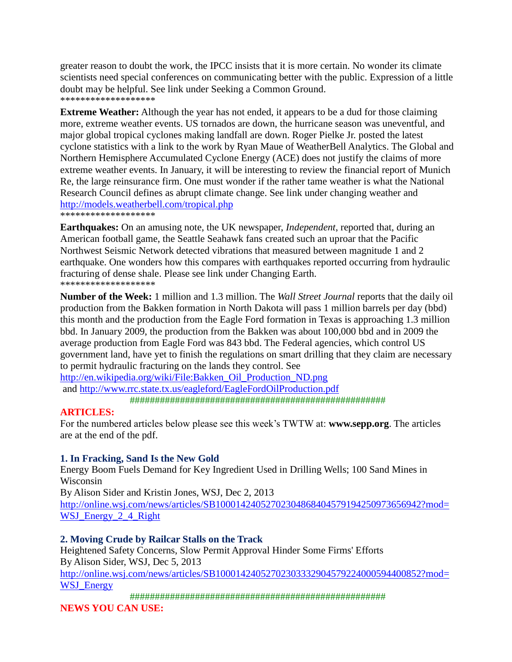greater reason to doubt the work, the IPCC insists that it is more certain. No wonder its climate scientists need special conferences on communicating better with the public. Expression of a little doubt may be helpful. See link under Seeking a Common Ground. \*\*\*\*\*\*\*\*\*\*\*\*\*\*\*\*\*\*\*

**Extreme Weather:** Although the year has not ended, it appears to be a dud for those claiming more, extreme weather events. US tornados are down, the hurricane season was uneventful, and major global tropical cyclones making landfall are down. Roger Pielke Jr. posted the latest cyclone statistics with a link to the work by Ryan Maue of WeatherBell Analytics. The Global and Northern Hemisphere Accumulated Cyclone Energy (ACE) does not justify the claims of more extreme weather events. In January, it will be interesting to review the financial report of Munich Re, the large reinsurance firm. One must wonder if the rather tame weather is what the National Research Council defines as abrupt climate change. See link under changing weather and <http://models.weatherbell.com/tropical.php>

\*\*\*\*\*\*\*\*\*\*\*\*\*\*\*\*\*

**Earthquakes:** On an amusing note, the UK newspaper, *Independent*, reported that, during an American football game, the Seattle Seahawk fans created such an uproar that the Pacific Northwest Seismic Network detected vibrations that measured between magnitude 1 and 2 earthquake. One wonders how this compares with earthquakes reported occurring from hydraulic fracturing of dense shale. Please see link under Changing Earth. \*\*\*\*\*\*\*\*\*\*\*\*\*\*\*\*\*\*\*

**Number of the Week:** 1 million and 1.3 million. The *Wall Street Journal* reports that the daily oil production from the Bakken formation in North Dakota will pass 1 million barrels per day (bbd) this month and the production from the Eagle Ford formation in Texas is approaching 1.3 million bbd. In January 2009, the production from the Bakken was about 100,000 bbd and in 2009 the average production from Eagle Ford was 843 bbd. The Federal agencies, which control US government land, have yet to finish the regulations on smart drilling that they claim are necessary to permit hydraulic fracturing on the lands they control. See

[http://en.wikipedia.org/wiki/File:Bakken\\_Oil\\_Production\\_ND.png](http://en.wikipedia.org/wiki/File:Bakken_Oil_Production_ND.png) and<http://www.rrc.state.tx.us/eagleford/EagleFordOilProduction.pdf>

###################################################

## **ARTICLES:**

For the numbered articles below please see this week's TWTW at: **www.sepp.org**. The articles are at the end of the pdf.

## **1. In Fracking, Sand Is the New Gold**

Energy Boom Fuels Demand for Key Ingredient Used in Drilling Wells; 100 Sand Mines in Wisconsin

By Alison Sider and Kristin Jones, WSJ, Dec 2, 2013 [http://online.wsj.com/news/articles/SB10001424052702304868404579194250973656942?mod=](http://online.wsj.com/news/articles/SB10001424052702304868404579194250973656942?mod=WSJ_Energy_2_4_Right) WSJ Energy 2 4 Right

## **2. Moving Crude by Railcar Stalls on the Track**

Heightened Safety Concerns, Slow Permit Approval Hinder Some Firms' Efforts By Alison Sider, WSJ, Dec 5, 2013

[http://online.wsj.com/news/articles/SB10001424052702303332904579224000594400852?mod=](http://online.wsj.com/news/articles/SB10001424052702303332904579224000594400852?mod=WSJ_Energy) [WSJ\\_Energy](http://online.wsj.com/news/articles/SB10001424052702303332904579224000594400852?mod=WSJ_Energy)

###################################################

## **NEWS YOU CAN USE:**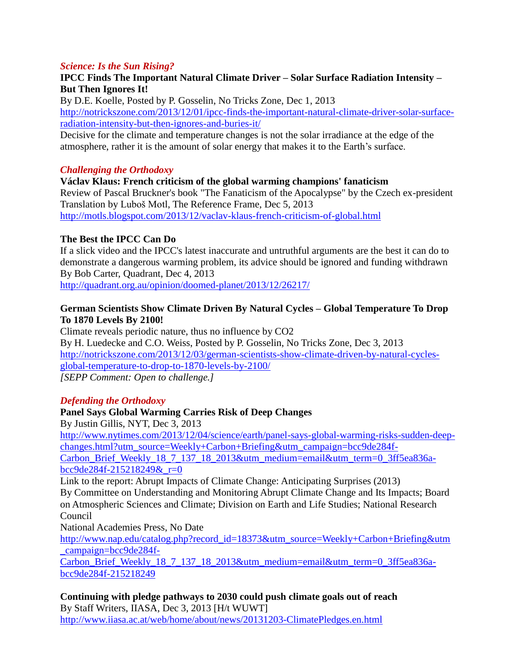## *Science: Is the Sun Rising?*

## **IPCC Finds The Important Natural Climate Driver – Solar Surface Radiation Intensity – But Then Ignores It!**

By D.E. Koelle, Posted by P. Gosselin, No Tricks Zone, Dec 1, 2013 [http://notrickszone.com/2013/12/01/ipcc-finds-the-important-natural-climate-driver-solar-surface](http://notrickszone.com/2013/12/01/ipcc-finds-the-important-natural-climate-driver-solar-surface-radiation-intensity-but-then-ignores-and-buries-it/)[radiation-intensity-but-then-ignores-and-buries-it/](http://notrickszone.com/2013/12/01/ipcc-finds-the-important-natural-climate-driver-solar-surface-radiation-intensity-but-then-ignores-and-buries-it/)

Decisive for the climate and temperature changes is not the solar irradiance at the edge of the atmosphere, rather it is the amount of solar energy that makes it to the Earth's surface.

#### *Challenging the Orthodoxy*

**Václav Klaus: French criticism of the global warming champions' fanaticism** Review of Pascal Bruckner's book "The Fanaticism of the Apocalypse" by the Czech ex-president Translation by Luboš Motl, The Reference Frame, Dec 5, 2013 <http://motls.blogspot.com/2013/12/vaclav-klaus-french-criticism-of-global.html>

#### **The Best the IPCC Can Do**

If a slick video and the IPCC's latest inaccurate and untruthful arguments are the best it can do to demonstrate a dangerous warming problem, its advice should be ignored and funding withdrawn By Bob Carter, Quadrant, Dec 4, 2013

<http://quadrant.org.au/opinion/doomed-planet/2013/12/26217/>

## **German Scientists Show Climate Driven By Natural Cycles – Global Temperature To Drop To 1870 Levels By 2100!**

Climate reveals periodic nature, thus no influence by CO2 By H. Luedecke and C.O. Weiss, Posted by P. Gosselin, No Tricks Zone, Dec 3, 2013 [http://notrickszone.com/2013/12/03/german-scientists-show-climate-driven-by-natural-cycles](http://notrickszone.com/2013/12/03/german-scientists-show-climate-driven-by-natural-cycles-global-temperature-to-drop-to-1870-levels-by-2100/)[global-temperature-to-drop-to-1870-levels-by-2100/](http://notrickszone.com/2013/12/03/german-scientists-show-climate-driven-by-natural-cycles-global-temperature-to-drop-to-1870-levels-by-2100/) *[SEPP Comment: Open to challenge.]*

#### *Defending the Orthodoxy*

## **Panel Says Global Warming Carries Risk of Deep Changes**

By Justin Gillis, NYT, Dec 3, 2013

[http://www.nytimes.com/2013/12/04/science/earth/panel-says-global-warming-risks-sudden-deep](http://www.nytimes.com/2013/12/04/science/earth/panel-says-global-warming-risks-sudden-deep-changes.html?utm_source=Weekly+Carbon+Briefing&utm_campaign=bcc9de284f-Carbon_Brief_Weekly_18_7_137_18_2013&utm_medium=email&utm_term=0_3ff5ea836a-bcc9de284f-215218249&_r=0)[changes.html?utm\\_source=Weekly+Carbon+Briefing&utm\\_campaign=bcc9de284f-](http://www.nytimes.com/2013/12/04/science/earth/panel-says-global-warming-risks-sudden-deep-changes.html?utm_source=Weekly+Carbon+Briefing&utm_campaign=bcc9de284f-Carbon_Brief_Weekly_18_7_137_18_2013&utm_medium=email&utm_term=0_3ff5ea836a-bcc9de284f-215218249&_r=0)

[Carbon\\_Brief\\_Weekly\\_18\\_7\\_137\\_18\\_2013&utm\\_medium=email&utm\\_term=0\\_3ff5ea836a](http://www.nytimes.com/2013/12/04/science/earth/panel-says-global-warming-risks-sudden-deep-changes.html?utm_source=Weekly+Carbon+Briefing&utm_campaign=bcc9de284f-Carbon_Brief_Weekly_18_7_137_18_2013&utm_medium=email&utm_term=0_3ff5ea836a-bcc9de284f-215218249&_r=0)bcc9de284f-215218249& $r=0$ 

Link to the report: Abrupt Impacts of Climate Change: Anticipating Surprises (2013) By Committee on Understanding and Monitoring Abrupt Climate Change and Its Impacts; Board on Atmospheric Sciences and Climate; Division on Earth and Life Studies; National Research Council

National Academies Press, No Date

[http://www.nap.edu/catalog.php?record\\_id=18373&utm\\_source=Weekly+Carbon+Briefing&utm](http://www.nap.edu/catalog.php?record_id=18373&utm_source=Weekly+Carbon+Briefing&utm_campaign=bcc9de284f-Carbon_Brief_Weekly_18_7_137_18_2013&utm_medium=email&utm_term=0_3ff5ea836a-bcc9de284f-215218249) [\\_campaign=bcc9de284f-](http://www.nap.edu/catalog.php?record_id=18373&utm_source=Weekly+Carbon+Briefing&utm_campaign=bcc9de284f-Carbon_Brief_Weekly_18_7_137_18_2013&utm_medium=email&utm_term=0_3ff5ea836a-bcc9de284f-215218249)

[Carbon\\_Brief\\_Weekly\\_18\\_7\\_137\\_18\\_2013&utm\\_medium=email&utm\\_term=0\\_3ff5ea836a](http://www.nap.edu/catalog.php?record_id=18373&utm_source=Weekly+Carbon+Briefing&utm_campaign=bcc9de284f-Carbon_Brief_Weekly_18_7_137_18_2013&utm_medium=email&utm_term=0_3ff5ea836a-bcc9de284f-215218249)[bcc9de284f-215218249](http://www.nap.edu/catalog.php?record_id=18373&utm_source=Weekly+Carbon+Briefing&utm_campaign=bcc9de284f-Carbon_Brief_Weekly_18_7_137_18_2013&utm_medium=email&utm_term=0_3ff5ea836a-bcc9de284f-215218249)

**Continuing with pledge pathways to 2030 could push climate goals out of reach** By Staff Writers, IIASA, Dec 3, 2013 [H/t WUWT] <http://www.iiasa.ac.at/web/home/about/news/20131203-ClimatePledges.en.html>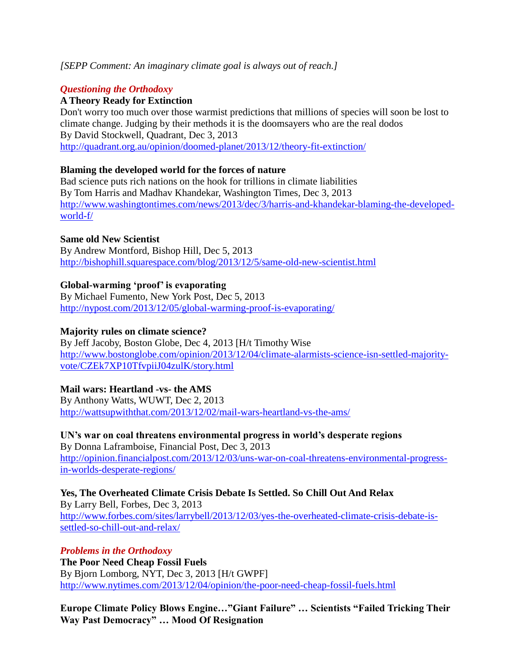*[SEPP Comment: An imaginary climate goal is always out of reach.]*

## *Questioning the Orthodoxy*

## **A Theory Ready for Extinction**

Don't worry too much over those warmist predictions that millions of species will soon be lost to climate change. Judging by their methods it is the doomsayers who are the real dodos By David Stockwell, Quadrant, Dec 3, 2013 <http://quadrant.org.au/opinion/doomed-planet/2013/12/theory-fit-extinction/>

## **Blaming the developed world for the forces of nature**

Bad science puts rich nations on the hook for trillions in climate liabilities By Tom Harris and Madhav Khandekar, Washington Times, Dec 3, 2013 [http://www.washingtontimes.com/news/2013/dec/3/harris-and-khandekar-blaming-the-developed](http://www.washingtontimes.com/news/2013/dec/3/harris-and-khandekar-blaming-the-developed-world-f/)[world-f/](http://www.washingtontimes.com/news/2013/dec/3/harris-and-khandekar-blaming-the-developed-world-f/)

## **Same old New Scientist**

By Andrew Montford, Bishop Hill, Dec 5, 2013 <http://bishophill.squarespace.com/blog/2013/12/5/same-old-new-scientist.html>

## **Global-warming 'proof' is evaporating**

By Michael Fumento, New York Post, Dec 5, 2013 <http://nypost.com/2013/12/05/global-warming-proof-is-evaporating/>

## **Majority rules on climate science?**

By Jeff Jacoby, Boston Globe, Dec 4, 2013 [H/t Timothy Wise [http://www.bostonglobe.com/opinion/2013/12/04/climate-alarmists-science-isn-settled-majority](http://www.bostonglobe.com/opinion/2013/12/04/climate-alarmists-science-isn-settled-majority-vote/CZEk7XP10TfvpiiJ04zulK/story.html)[vote/CZEk7XP10TfvpiiJ04zulK/story.html](http://www.bostonglobe.com/opinion/2013/12/04/climate-alarmists-science-isn-settled-majority-vote/CZEk7XP10TfvpiiJ04zulK/story.html)

## **Mail wars: Heartland -vs- the AMS**

By Anthony Watts, WUWT, Dec 2, 2013 <http://wattsupwiththat.com/2013/12/02/mail-wars-heartland-vs-the-ams/>

**UN's war on coal threatens environmental progress in world's desperate regions** By Donna Laframboise, Financial Post, Dec 3, 2013 [http://opinion.financialpost.com/2013/12/03/uns-war-on-coal-threatens-environmental-progress](http://opinion.financialpost.com/2013/12/03/uns-war-on-coal-threatens-environmental-progress-in-worlds-desperate-regions/)[in-worlds-desperate-regions/](http://opinion.financialpost.com/2013/12/03/uns-war-on-coal-threatens-environmental-progress-in-worlds-desperate-regions/)

#### **Yes, The Overheated Climate Crisis Debate Is Settled. So Chill Out And Relax** By Larry Bell, Forbes, Dec 3, 2013

[http://www.forbes.com/sites/larrybell/2013/12/03/yes-the-overheated-climate-crisis-debate-is](http://www.forbes.com/sites/larrybell/2013/12/03/yes-the-overheated-climate-crisis-debate-is-settled-so-chill-out-and-relax/)[settled-so-chill-out-and-relax/](http://www.forbes.com/sites/larrybell/2013/12/03/yes-the-overheated-climate-crisis-debate-is-settled-so-chill-out-and-relax/)

*Problems in the Orthodoxy* **The Poor Need Cheap Fossil Fuels** By Bjorn Lomborg, NYT, Dec 3, 2013 [H/t GWPF] <http://www.nytimes.com/2013/12/04/opinion/the-poor-need-cheap-fossil-fuels.html>

**Europe Climate Policy Blows Engine…"Giant Failure" … Scientists "Failed Tricking Their Way Past Democracy" … Mood Of Resignation**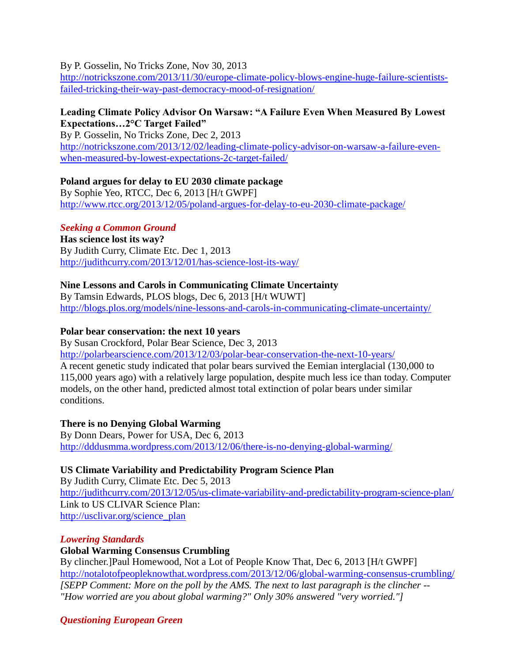#### By P. Gosselin, No Tricks Zone, Nov 30, 2013

[http://notrickszone.com/2013/11/30/europe-climate-policy-blows-engine-huge-failure-scientists](http://notrickszone.com/2013/11/30/europe-climate-policy-blows-engine-huge-failure-scientists-failed-tricking-their-way-past-democracy-mood-of-resignation/)[failed-tricking-their-way-past-democracy-mood-of-resignation/](http://notrickszone.com/2013/11/30/europe-climate-policy-blows-engine-huge-failure-scientists-failed-tricking-their-way-past-democracy-mood-of-resignation/)

## **Leading Climate Policy Advisor On Warsaw: "A Failure Even When Measured By Lowest Expectations…2°C Target Failed"**

By P. Gosselin, No Tricks Zone, Dec 2, 2013 [http://notrickszone.com/2013/12/02/leading-climate-policy-advisor-on-warsaw-a-failure-even](http://notrickszone.com/2013/12/02/leading-climate-policy-advisor-on-warsaw-a-failure-even-when-measured-by-lowest-expectations-2c-target-failed/)[when-measured-by-lowest-expectations-2c-target-failed/](http://notrickszone.com/2013/12/02/leading-climate-policy-advisor-on-warsaw-a-failure-even-when-measured-by-lowest-expectations-2c-target-failed/)

## **Poland argues for delay to EU 2030 climate package**

By Sophie Yeo, RTCC, Dec 6, 2013 [H/t GWPF] <http://www.rtcc.org/2013/12/05/poland-argues-for-delay-to-eu-2030-climate-package/>

#### *Seeking a Common Ground*

**Has science lost its way?** By Judith Curry, Climate Etc. Dec 1, 2013 <http://judithcurry.com/2013/12/01/has-science-lost-its-way/>

#### **Nine Lessons and Carols in Communicating Climate Uncertainty**

By Tamsin Edwards, PLOS blogs, Dec 6, 2013 [H/t WUWT] <http://blogs.plos.org/models/nine-lessons-and-carols-in-communicating-climate-uncertainty/>

#### **Polar bear conservation: the next 10 years**

By Susan Crockford, Polar Bear Science, Dec 3, 2013 <http://polarbearscience.com/2013/12/03/polar-bear-conservation-the-next-10-years/> A recent genetic study indicated that polar bears survived the Eemian interglacial (130,000 to 115,000 years ago) with a relatively large population, despite much less ice than today. Computer models, on the other hand, predicted almost total extinction of polar bears under similar conditions.

#### **There is no Denying Global Warming**

By Donn Dears, Power for USA, Dec 6, 2013 <http://dddusmma.wordpress.com/2013/12/06/there-is-no-denying-global-warming/>

#### **US Climate Variability and Predictability Program Science Plan**

By Judith Curry, Climate Etc. Dec 5, 2013 <http://judithcurry.com/2013/12/05/us-climate-variability-and-predictability-program-science-plan/> Link to US CLIVAR Science Plan: [http://usclivar.org/science\\_plan](http://usclivar.org/science_plan)

#### *Lowering Standards*

**Global Warming Consensus Crumbling**

By clincher.]Paul Homewood, Not a Lot of People Know That, Dec 6, 2013 [H/t GWPF] <http://notalotofpeopleknowthat.wordpress.com/2013/12/06/global-warming-consensus-crumbling/> *[SEPP Comment: More on the poll by the AMS. The next to last paragraph is the clincher -- "How worried are you about global warming?" Only 30% answered "very worried."]* 

#### *Questioning European Green*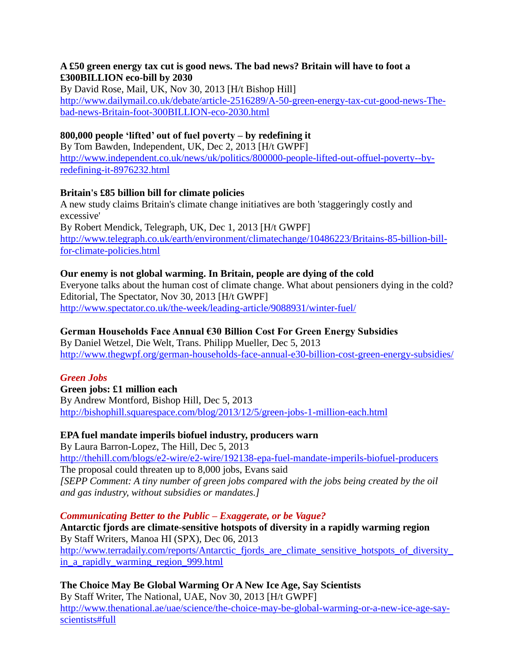#### **A £50 green energy tax cut is good news. The bad news? Britain will have to foot a £300BILLION eco-bill by 2030**

By David Rose, Mail, UK, Nov 30, 2013 [H/t Bishop Hill] [http://www.dailymail.co.uk/debate/article-2516289/A-50-green-energy-tax-cut-good-news-The](http://www.dailymail.co.uk/debate/article-2516289/A-50-green-energy-tax-cut-good-news-The-bad-news-Britain-foot-300BILLION-eco-2030.html)[bad-news-Britain-foot-300BILLION-eco-2030.html](http://www.dailymail.co.uk/debate/article-2516289/A-50-green-energy-tax-cut-good-news-The-bad-news-Britain-foot-300BILLION-eco-2030.html)

#### **800,000 people 'lifted' out of fuel poverty – by redefining it**

By Tom Bawden, Independent, UK, Dec 2, 2013 [H/t GWPF] [http://www.independent.co.uk/news/uk/politics/800000-people-lifted-out-offuel-poverty--by](http://www.independent.co.uk/news/uk/politics/800000-people-lifted-out-offuel-poverty--by-redefining-it-8976232.html)[redefining-it-8976232.html](http://www.independent.co.uk/news/uk/politics/800000-people-lifted-out-offuel-poverty--by-redefining-it-8976232.html)

#### **Britain's £85 billion bill for climate policies**

A new study claims Britain's climate change initiatives are both 'staggeringly costly and excessive' By Robert Mendick, Telegraph, UK, Dec 1, 2013 [H/t GWPF] [http://www.telegraph.co.uk/earth/environment/climatechange/10486223/Britains-85-billion-bill](http://www.telegraph.co.uk/earth/environment/climatechange/10486223/Britains-85-billion-bill-for-climate-policies.html)[for-climate-policies.html](http://www.telegraph.co.uk/earth/environment/climatechange/10486223/Britains-85-billion-bill-for-climate-policies.html)

#### **Our enemy is not global warming. In Britain, people are dying of the cold**

Everyone talks about the human cost of climate change. What about pensioners dying in the cold? Editorial, The Spectator, Nov 30, 2013 [H/t GWPF] <http://www.spectator.co.uk/the-week/leading-article/9088931/winter-fuel/>

## **German Households Face Annual €30 Billion Cost For Green Energy Subsidies**

By Daniel Wetzel, Die Welt, Trans. Philipp Mueller, Dec 5, 2013 <http://www.thegwpf.org/german-households-face-annual-e30-billion-cost-green-energy-subsidies/>

#### *Green Jobs*

**Green jobs: £1 million each** By Andrew Montford, Bishop Hill, Dec 5, 2013 <http://bishophill.squarespace.com/blog/2013/12/5/green-jobs-1-million-each.html>

## **EPA fuel mandate imperils biofuel industry, producers warn**

By Laura Barron-Lopez, The Hill, Dec 5, 2013 <http://thehill.com/blogs/e2-wire/e2-wire/192138-epa-fuel-mandate-imperils-biofuel-producers> The proposal could threaten up to 8,000 jobs, Evans said *[SEPP Comment: A tiny number of green jobs compared with the jobs being created by the oil and gas industry, without subsidies or mandates.]*

*Communicating Better to the Public – Exaggerate, or be Vague?*

**Antarctic fjords are climate-sensitive hotspots of diversity in a rapidly warming region** By Staff Writers, Manoa HI (SPX), Dec 06, 2013 [http://www.terradaily.com/reports/Antarctic\\_fjords\\_are\\_climate\\_sensitive\\_hotspots\\_of\\_diversity\\_](http://www.terradaily.com/reports/Antarctic_fjords_are_climate_sensitive_hotspots_of_diversity_in_a_rapidly_warming_region_999.html) [in\\_a\\_rapidly\\_warming\\_region\\_999.html](http://www.terradaily.com/reports/Antarctic_fjords_are_climate_sensitive_hotspots_of_diversity_in_a_rapidly_warming_region_999.html)

## **The Choice May Be Global Warming Or A New Ice Age, Say Scientists**

By Staff Writer, The National, UAE, Nov 30, 2013 [H/t GWPF] [http://www.thenational.ae/uae/science/the-choice-may-be-global-warming-or-a-new-ice-age-say](http://www.thenational.ae/uae/science/the-choice-may-be-global-warming-or-a-new-ice-age-say-scientists#full)[scientists#full](http://www.thenational.ae/uae/science/the-choice-may-be-global-warming-or-a-new-ice-age-say-scientists#full)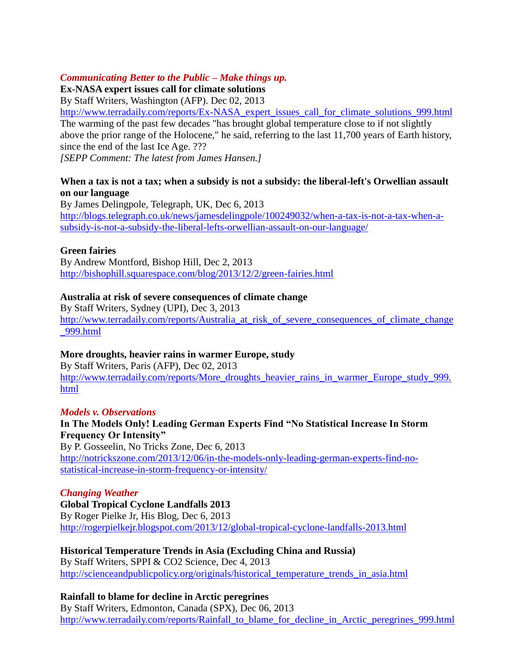#### *Communicating Better to the Public – Make things up.*

**Ex-NASA expert issues call for climate solutions**

By Staff Writers, Washington (AFP). Dec 02, 2013

[http://www.terradaily.com/reports/Ex-NASA\\_expert\\_issues\\_call\\_for\\_climate\\_solutions\\_999.html](http://www.terradaily.com/reports/Ex-NASA_expert_issues_call_for_climate_solutions_999.html) The warming of the past few decades "has brought global temperature close to if not slightly above the prior range of the Holocene," he said, referring to the last 11,700 years of Earth history, since the end of the last Ice Age. ???

*[SEPP Comment: The latest from James Hansen.]*

## **When a tax is not a tax; when a subsidy is not a subsidy: the liberal-left's Orwellian assault on our language**

By James Delingpole, Telegraph, UK, Dec 6, 2013 [http://blogs.telegraph.co.uk/news/jamesdelingpole/100249032/when-a-tax-is-not-a-tax-when-a](http://blogs.telegraph.co.uk/news/jamesdelingpole/100249032/when-a-tax-is-not-a-tax-when-a-subsidy-is-not-a-subsidy-the-liberal-lefts-orwellian-assault-on-our-language/)[subsidy-is-not-a-subsidy-the-liberal-lefts-orwellian-assault-on-our-language/](http://blogs.telegraph.co.uk/news/jamesdelingpole/100249032/when-a-tax-is-not-a-tax-when-a-subsidy-is-not-a-subsidy-the-liberal-lefts-orwellian-assault-on-our-language/)

## **Green fairies**

By Andrew Montford, Bishop Hill, Dec 2, 2013 <http://bishophill.squarespace.com/blog/2013/12/2/green-fairies.html>

## **Australia at risk of severe consequences of climate change**

By Staff Writers, Sydney (UPI), Dec 3, 2013 http://www.terradaily.com/reports/Australia at risk of severe consequences of climate change [\\_999.html](http://www.terradaily.com/reports/Australia_at_risk_of_severe_consequences_of_climate_change_999.html)

## **More droughts, heavier rains in warmer Europe, study**

By Staff Writers, Paris (AFP), Dec 02, 2013 http://www.terradaily.com/reports/More droughts heavier rains in warmer Europe study 999. [html](http://www.terradaily.com/reports/More_droughts_heavier_rains_in_warmer_Europe_study_999.html)

## *Models v. Observations*

**In The Models Only! Leading German Experts Find "No Statistical Increase In Storm Frequency Or Intensity"**  By P. Gosseelin, No Tricks Zone, Dec 6, 2013 [http://notrickszone.com/2013/12/06/in-the-models-only-leading-german-experts-find-no](http://notrickszone.com/2013/12/06/in-the-models-only-leading-german-experts-find-no-statistical-increase-in-storm-frequency-or-intensity/)[statistical-increase-in-storm-frequency-or-intensity/](http://notrickszone.com/2013/12/06/in-the-models-only-leading-german-experts-find-no-statistical-increase-in-storm-frequency-or-intensity/)

## *Changing Weather*

**Global Tropical Cyclone Landfalls 2013** By Roger Pielke Jr, His Blog, Dec 6, 2013 <http://rogerpielkejr.blogspot.com/2013/12/global-tropical-cyclone-landfalls-2013.html>

**Historical Temperature Trends in Asia (Excluding China and Russia)** By Staff Writers, SPPI & CO2 Science, Dec 4, 2013 [http://scienceandpublicpolicy.org/originals/historical\\_temperature\\_trends\\_in\\_asia.html](http://scienceandpublicpolicy.org/originals/historical_temperature_trends_in_asia.html)

**Rainfall to blame for decline in Arctic peregrines** By Staff Writers, Edmonton, Canada (SPX), Dec 06, 2013 [http://www.terradaily.com/reports/Rainfall\\_to\\_blame\\_for\\_decline\\_in\\_Arctic\\_peregrines\\_999.html](http://www.terradaily.com/reports/Rainfall_to_blame_for_decline_in_Arctic_peregrines_999.html)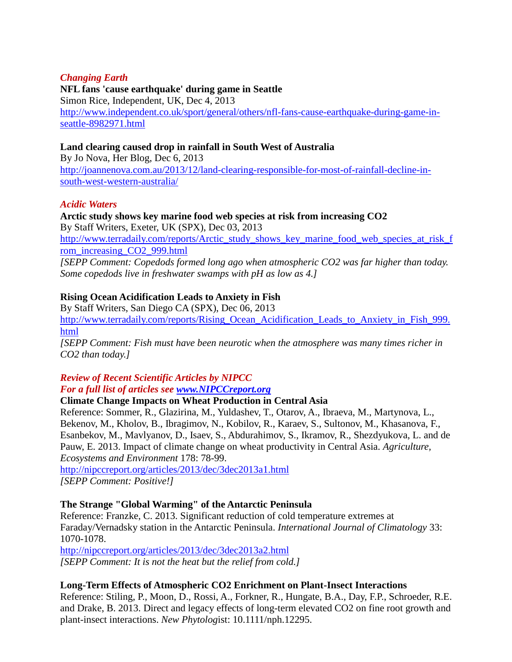## *Changing Earth*

**NFL fans 'cause earthquake' during game in Seattle** Simon Rice, Independent, UK, Dec 4, 2013 [http://www.independent.co.uk/sport/general/others/nfl-fans-cause-earthquake-during-game-in](http://www.independent.co.uk/sport/general/others/nfl-fans-cause-earthquake-during-game-in-seattle-8982971.html)[seattle-8982971.html](http://www.independent.co.uk/sport/general/others/nfl-fans-cause-earthquake-during-game-in-seattle-8982971.html)

## **Land clearing caused drop in rainfall in South West of Australia**

By Jo Nova, Her Blog, Dec 6, 2013 [http://joannenova.com.au/2013/12/land-clearing-responsible-for-most-of-rainfall-decline-in](http://joannenova.com.au/2013/12/land-clearing-responsible-for-most-of-rainfall-decline-in-south-west-western-australia/)[south-west-western-australia/](http://joannenova.com.au/2013/12/land-clearing-responsible-for-most-of-rainfall-decline-in-south-west-western-australia/)

## *Acidic Waters*

**Arctic study shows key marine food web species at risk from increasing CO2** By Staff Writers, Exeter, UK (SPX), Dec 03, 2013 [http://www.terradaily.com/reports/Arctic\\_study\\_shows\\_key\\_marine\\_food\\_web\\_species\\_at\\_risk\\_f](http://www.terradaily.com/reports/Arctic_study_shows_key_marine_food_web_species_at_risk_from_increasing_CO2_999.html) rom\_increasing\_CO<sub>2\_999.html</sub> *[SEPP Comment: Copedods formed long ago when atmospheric CO2 was far higher than today.* 

*Some copedods live in freshwater swamps with pH as low as 4.]*

## **Rising Ocean Acidification Leads to Anxiety in Fish**

By Staff Writers, San Diego CA (SPX), Dec 06, 2013 http://www.terradaily.com/reports/Rising Ocean Acidification Leads to Anxiety in Fish 999. [html](http://www.terradaily.com/reports/Rising_Ocean_Acidification_Leads_to_Anxiety_in_Fish_999.html)

*[SEPP Comment: Fish must have been neurotic when the atmosphere was many times richer in CO2 than today.]*

## *Review of Recent Scientific Articles by NIPCC For a full list of articles see [www.NIPCCreport.org](http://www.nipccreport.org/)*

## **Climate Change Impacts on Wheat Production in Central Asia**

Reference: Sommer, R., Glazirina, M., Yuldashev, T., Otarov, A., Ibraeva, M., Martynova, L., Bekenov, M., Kholov, B., Ibragimov, N., Kobilov, R., Karaev, S., Sultonov, M., Khasanova, F., Esanbekov, M., Mavlyanov, D., Isaev, S., Abdurahimov, S., Ikramov, R., Shezdyukova, L. and de Pauw, E. 2013. Impact of climate change on wheat productivity in Central Asia. *Agriculture, Ecosystems and Environment* 178: 78-99.

<http://nipccreport.org/articles/2013/dec/3dec2013a1.html> *[SEPP Comment: Positive!]*

## **The Strange "Global Warming" of the Antarctic Peninsula**

Reference: Franzke, C. 2013. Significant reduction of cold temperature extremes at Faraday/Vernadsky station in the Antarctic Peninsula. *International Journal of Climatology* 33: 1070-1078.

<http://nipccreport.org/articles/2013/dec/3dec2013a2.html>

*[SEPP Comment: It is not the heat but the relief from cold.]*

## **Long-Term Effects of Atmospheric CO2 Enrichment on Plant-Insect Interactions**

Reference: Stiling, P., Moon, D., Rossi, A., Forkner, R., Hungate, B.A., Day, F.P., Schroeder, R.E. and Drake, B. 2013. Direct and legacy effects of long-term elevated CO2 on fine root growth and plant-insect interactions. *New Phytolog*ist: 10.1111/nph.12295.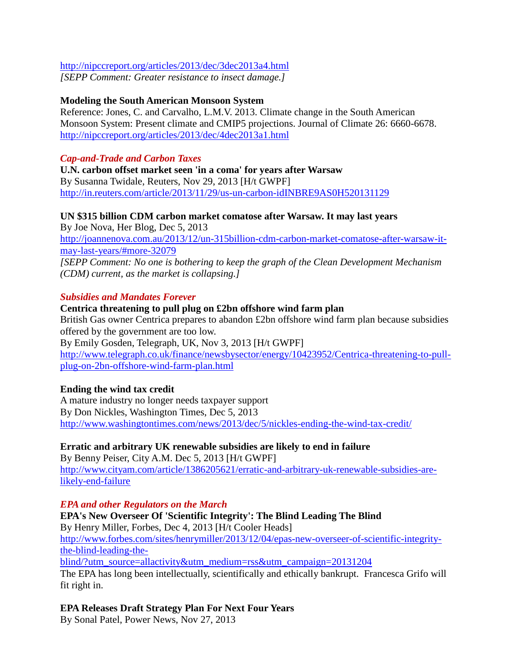<http://nipccreport.org/articles/2013/dec/3dec2013a4.html> *[SEPP Comment: Greater resistance to insect damage.]*

## **Modeling the South American Monsoon System**

Reference: Jones, C. and Carvalho, L.M.V. 2013. Climate change in the South American Monsoon System: Present climate and CMIP5 projections. Journal of Climate 26: 6660-6678. <http://nipccreport.org/articles/2013/dec/4dec2013a1.html>

## *Cap-and-Trade and Carbon Taxes*

**U.N. carbon offset market seen 'in a coma' for years after Warsaw** By Susanna Twidale, Reuters, Nov 29, 2013 [H/t GWPF] <http://in.reuters.com/article/2013/11/29/us-un-carbon-idINBRE9AS0H520131129>

#### **UN \$315 billion CDM carbon market comatose after Warsaw. It may last years**

By Joe Nova, Her Blog, Dec 5, 2013 [http://joannenova.com.au/2013/12/un-315billion-cdm-carbon-market-comatose-after-warsaw-it](http://joannenova.com.au/2013/12/un-315billion-cdm-carbon-market-comatose-after-warsaw-it-may-last-years/#more-32079)[may-last-years/#more-32079](http://joannenova.com.au/2013/12/un-315billion-cdm-carbon-market-comatose-after-warsaw-it-may-last-years/#more-32079) *[SEPP Comment: No one is bothering to keep the graph of the Clean Development Mechanism* 

*(CDM) current, as the market is collapsing.]*

#### *Subsidies and Mandates Forever*

#### **Centrica threatening to pull plug on £2bn offshore wind farm plan**

British Gas owner Centrica prepares to abandon £2bn offshore wind farm plan because subsidies offered by the government are too low. By Emily Gosden, Telegraph, UK, Nov 3, 2013 [H/t GWPF] [http://www.telegraph.co.uk/finance/newsbysector/energy/10423952/Centrica-threatening-to-pull](http://www.telegraph.co.uk/finance/newsbysector/energy/10423952/Centrica-threatening-to-pull-plug-on-2bn-offshore-wind-farm-plan.html)[plug-on-2bn-offshore-wind-farm-plan.html](http://www.telegraph.co.uk/finance/newsbysector/energy/10423952/Centrica-threatening-to-pull-plug-on-2bn-offshore-wind-farm-plan.html)

#### **Ending the wind tax credit**

A mature industry no longer needs taxpayer support By Don Nickles, Washington Times, Dec 5, 2013 <http://www.washingtontimes.com/news/2013/dec/5/nickles-ending-the-wind-tax-credit/>

#### **Erratic and arbitrary UK renewable subsidies are likely to end in failure**

By Benny Peiser, City A.M. Dec 5, 2013 [H/t GWPF] [http://www.cityam.com/article/1386205621/erratic-and-arbitrary-uk-renewable-subsidies-are](http://www.cityam.com/article/1386205621/erratic-and-arbitrary-uk-renewable-subsidies-are-likely-end-failure)[likely-end-failure](http://www.cityam.com/article/1386205621/erratic-and-arbitrary-uk-renewable-subsidies-are-likely-end-failure)

#### *EPA and other Regulators on the March*

**EPA's New Overseer Of 'Scientific Integrity': The Blind Leading The Blind** By Henry Miller, Forbes, Dec 4, 2013 [H/t Cooler Heads] [http://www.forbes.com/sites/henrymiller/2013/12/04/epas-new-overseer-of-scientific-integrity](http://www.forbes.com/sites/henrymiller/2013/12/04/epas-new-overseer-of-scientific-integrity-the-blind-leading-the-blind/?utm_source=allactivity&utm_medium=rss&utm_campaign=20131204)[the-blind-leading-the-](http://www.forbes.com/sites/henrymiller/2013/12/04/epas-new-overseer-of-scientific-integrity-the-blind-leading-the-blind/?utm_source=allactivity&utm_medium=rss&utm_campaign=20131204)

[blind/?utm\\_source=allactivity&utm\\_medium=rss&utm\\_campaign=20131204](http://www.forbes.com/sites/henrymiller/2013/12/04/epas-new-overseer-of-scientific-integrity-the-blind-leading-the-blind/?utm_source=allactivity&utm_medium=rss&utm_campaign=20131204)

The EPA has long been intellectually, scientifically and ethically bankrupt. Francesca Grifo will fit right in.

## **EPA Releases Draft Strategy Plan For Next Four Years**

By Sonal Patel, Power News, Nov 27, 2013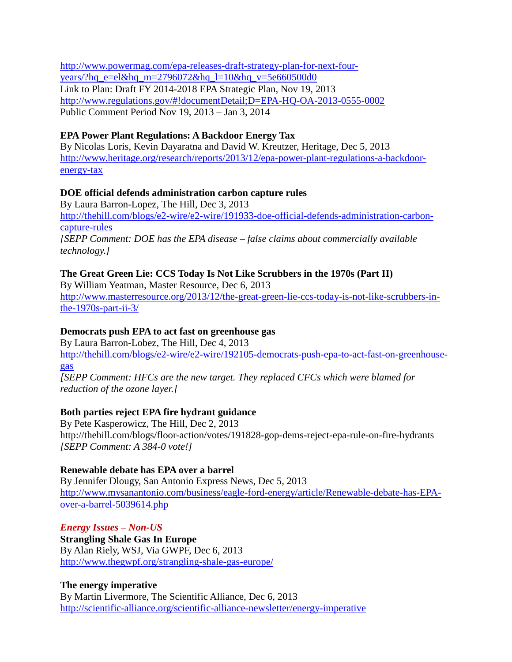[http://www.powermag.com/epa-releases-draft-strategy-plan-for-next-four](http://www.powermag.com/epa-releases-draft-strategy-plan-for-next-four-years/?hq_e=el&hq_m=2796072&hq_l=10&hq_v=5e660500d0)[years/?hq\\_e=el&hq\\_m=2796072&hq\\_l=10&hq\\_v=5e660500d0](http://www.powermag.com/epa-releases-draft-strategy-plan-for-next-four-years/?hq_e=el&hq_m=2796072&hq_l=10&hq_v=5e660500d0) Link to Plan: Draft FY 2014-2018 EPA Strategic Plan, Nov 19, 2013 <http://www.regulations.gov/#!documentDetail;D=EPA-HQ-OA-2013-0555-0002> Public Comment Period Nov 19, 2013 – Jan 3, 2014

## **EPA Power Plant Regulations: A Backdoor Energy Tax**

By Nicolas Loris, Kevin Dayaratna and David W. Kreutzer, Heritage, Dec 5, 2013 [http://www.heritage.org/research/reports/2013/12/epa-power-plant-regulations-a-backdoor](http://www.heritage.org/research/reports/2013/12/epa-power-plant-regulations-a-backdoor-energy-tax)[energy-tax](http://www.heritage.org/research/reports/2013/12/epa-power-plant-regulations-a-backdoor-energy-tax)

## **DOE official defends administration carbon capture rules**

By Laura Barron-Lopez, The Hill, Dec 3, 2013

[http://thehill.com/blogs/e2-wire/e2-wire/191933-doe-official-defends-administration-carbon](http://thehill.com/blogs/e2-wire/e2-wire/191933-doe-official-defends-administration-carbon-capture-rules)[capture-rules](http://thehill.com/blogs/e2-wire/e2-wire/191933-doe-official-defends-administration-carbon-capture-rules)

*[SEPP Comment: DOE has the EPA disease – false claims about commercially available technology.]*

## **The Great Green Lie: CCS Today Is Not Like Scrubbers in the 1970s (Part II)**

By William Yeatman, Master Resource, Dec 6, 2013 [http://www.masterresource.org/2013/12/the-great-green-lie-ccs-today-is-not-like-scrubbers-in](http://www.masterresource.org/2013/12/the-great-green-lie-ccs-today-is-not-like-scrubbers-in-the-1970s-part-ii-3/)[the-1970s-part-ii-3/](http://www.masterresource.org/2013/12/the-great-green-lie-ccs-today-is-not-like-scrubbers-in-the-1970s-part-ii-3/)

## **Democrats push EPA to act fast on greenhouse gas**

By Laura Barron-Lobez, The Hill, Dec 4, 2013

[http://thehill.com/blogs/e2-wire/e2-wire/192105-democrats-push-epa-to-act-fast-on-greenhouse](http://thehill.com/blogs/e2-wire/e2-wire/192105-democrats-push-epa-to-act-fast-on-greenhouse-gas)[gas](http://thehill.com/blogs/e2-wire/e2-wire/192105-democrats-push-epa-to-act-fast-on-greenhouse-gas)

*[SEPP Comment: HFCs are the new target. They replaced CFCs which were blamed for reduction of the ozone layer.]*

## **Both parties reject EPA fire hydrant guidance**

By Pete Kasperowicz, The Hill, Dec 2, 2013 http://thehill.com/blogs/floor-action/votes/191828-gop-dems-reject-epa-rule-on-fire-hydrants *[SEPP Comment: A 384-0 vote!]*

## **Renewable debate has EPA over a barrel**

By Jennifer Dlougy, San Antonio Express News, Dec 5, 2013 [http://www.mysanantonio.com/business/eagle-ford-energy/article/Renewable-debate-has-EPA](http://www.mysanantonio.com/business/eagle-ford-energy/article/Renewable-debate-has-EPA-over-a-barrel-5039614.php)[over-a-barrel-5039614.php](http://www.mysanantonio.com/business/eagle-ford-energy/article/Renewable-debate-has-EPA-over-a-barrel-5039614.php)

## *Energy Issues – Non-US*

**Strangling Shale Gas In Europe** By Alan Riely, WSJ, Via GWPF, Dec 6, 2013 <http://www.thegwpf.org/strangling-shale-gas-europe/>

## **The energy imperative**

By Martin Livermore, The Scientific Alliance, Dec 6, 2013 <http://scientific-alliance.org/scientific-alliance-newsletter/energy-imperative>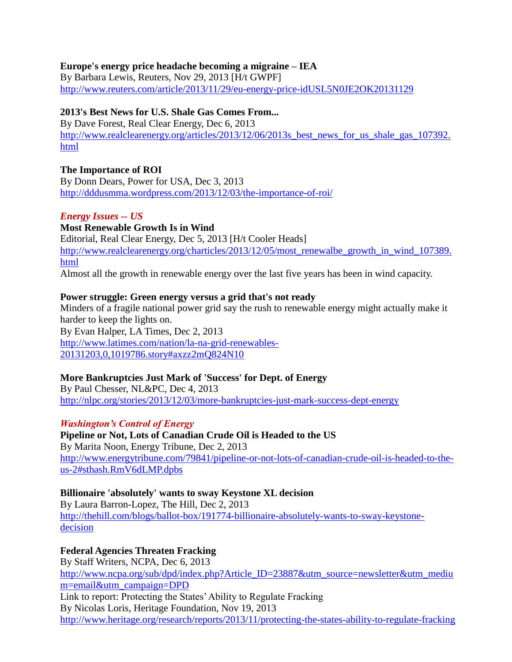## **Europe's energy price headache becoming a migraine – IEA**

By Barbara Lewis, Reuters, Nov 29, 2013 [H/t GWPF] <http://www.reuters.com/article/2013/11/29/eu-energy-price-idUSL5N0JE2OK20131129>

## **2013's Best News for U.S. Shale Gas Comes From...**

By Dave Forest, Real Clear Energy, Dec 6, 2013 http://www.realclearenergy.org/articles/2013/12/06/2013s best\_news\_for\_us\_shale\_gas\_107392. [html](http://www.realclearenergy.org/articles/2013/12/06/2013s_best_news_for_us_shale_gas_107392.html)

#### **The Importance of ROI**

By Donn Dears, Power for USA, Dec 3, 2013 <http://dddusmma.wordpress.com/2013/12/03/the-importance-of-roi/>

## *Energy Issues -- US*

**Most Renewable Growth Is in Wind** Editorial, Real Clear Energy, Dec 5, 2013 [H/t Cooler Heads] [http://www.realclearenergy.org/charticles/2013/12/05/most\\_renewalbe\\_growth\\_in\\_wind\\_107389.](http://www.realclearenergy.org/charticles/2013/12/05/most_renewalbe_growth_in_wind_107389.html) [html](http://www.realclearenergy.org/charticles/2013/12/05/most_renewalbe_growth_in_wind_107389.html)

Almost all the growth in renewable energy over the last five years has been in wind capacity.

#### **Power struggle: Green energy versus a grid that's not ready**

Minders of a fragile national power grid say the rush to renewable energy might actually make it harder to keep the lights on. By Evan Halper, LA Times, Dec 2, 2013 [http://www.latimes.com/nation/la-na-grid-renewables-](http://www.latimes.com/nation/la-na-grid-renewables-20131203,0,1019786.story#axzz2mQ824N10)[20131203,0,1019786.story#axzz2mQ824N10](http://www.latimes.com/nation/la-na-grid-renewables-20131203,0,1019786.story#axzz2mQ824N10)

## **More Bankruptcies Just Mark of 'Success' for Dept. of Energy**

By Paul Chesser, NL&PC, Dec 4, 2013 <http://nlpc.org/stories/2013/12/03/more-bankruptcies-just-mark-success-dept-energy>

## *Washington's Control of Energy*

**Pipeline or Not, Lots of Canadian Crude Oil is Headed to the US** By Marita Noon, Energy Tribune, Dec 2, 2013 [http://www.energytribune.com/79841/pipeline-or-not-lots-of-canadian-crude-oil-is-headed-to-the](http://www.energytribune.com/79841/pipeline-or-not-lots-of-canadian-crude-oil-is-headed-to-the-us-2#sthash.RmV6dLMP.dpbs)[us-2#sthash.RmV6dLMP.dpbs](http://www.energytribune.com/79841/pipeline-or-not-lots-of-canadian-crude-oil-is-headed-to-the-us-2#sthash.RmV6dLMP.dpbs)

#### **Billionaire 'absolutely' wants to sway Keystone XL decision**

By Laura Barron-Lopez, The Hill, Dec 2, 2013 [http://thehill.com/blogs/ballot-box/191774-billionaire-absolutely-wants-to-sway-keystone](http://thehill.com/blogs/ballot-box/191774-billionaire-absolutely-wants-to-sway-keystone-decision)[decision](http://thehill.com/blogs/ballot-box/191774-billionaire-absolutely-wants-to-sway-keystone-decision)

## **Federal Agencies Threaten Fracking**

By Staff Writers, NCPA, Dec 6, 2013 [http://www.ncpa.org/sub/dpd/index.php?Article\\_ID=23887&utm\\_source=newsletter&utm\\_mediu](http://www.ncpa.org/sub/dpd/index.php?Article_ID=23887&utm_source=newsletter&utm_medium=email&utm_campaign=DPD) [m=email&utm\\_campaign=DPD](http://www.ncpa.org/sub/dpd/index.php?Article_ID=23887&utm_source=newsletter&utm_medium=email&utm_campaign=DPD) Link to report: Protecting the States' Ability to Regulate Fracking By Nicolas Loris, Heritage Foundation, Nov 19, 2013 <http://www.heritage.org/research/reports/2013/11/protecting-the-states-ability-to-regulate-fracking>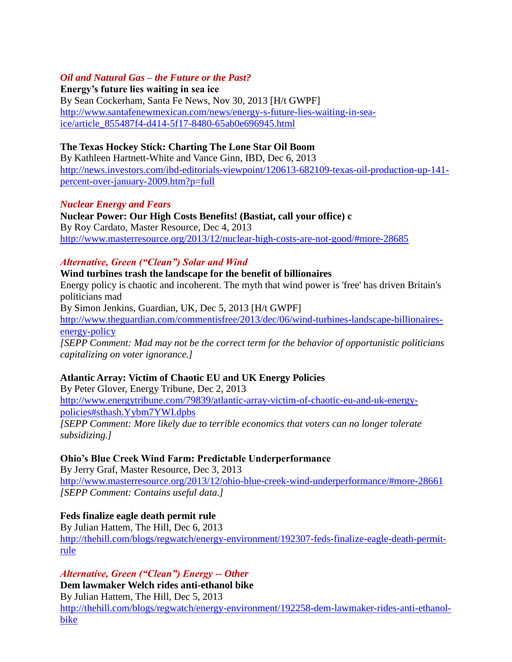## *Oil and Natural Gas – the Future or the Past?*

**Energy's future lies waiting in sea ice** By Sean Cockerham, Santa Fe News, Nov 30, 2013 [H/t GWPF] [http://www.santafenewmexican.com/news/energy-s-future-lies-waiting-in-sea](http://www.santafenewmexican.com/news/energy-s-future-lies-waiting-in-sea-ice/article_855487f4-d414-5f17-8480-65ab0e696945.html)[ice/article\\_855487f4-d414-5f17-8480-65ab0e696945.html](http://www.santafenewmexican.com/news/energy-s-future-lies-waiting-in-sea-ice/article_855487f4-d414-5f17-8480-65ab0e696945.html)

## **The Texas Hockey Stick: Charting The Lone Star Oil Boom**

By Kathleen Hartnett-White and Vance Ginn, IBD, Dec 6, 2013 [http://news.investors.com/ibd-editorials-viewpoint/120613-682109-texas-oil-production-up-141](http://news.investors.com/ibd-editorials-viewpoint/120613-682109-texas-oil-production-up-141-percent-over-january-2009.htm?p=full) [percent-over-january-2009.htm?p=full](http://news.investors.com/ibd-editorials-viewpoint/120613-682109-texas-oil-production-up-141-percent-over-january-2009.htm?p=full)

#### *Nuclear Energy and Fears*

**Nuclear Power: Our High Costs Benefits! (Bastiat, call your office) c** By Roy Cardato, Master Resource, Dec 4, 2013 <http://www.masterresource.org/2013/12/nuclear-high-costs-are-not-good/#more-28685>

## *Alternative, Green ("Clean") Solar and Wind*

**Wind turbines trash the landscape for the benefit of billionaires** Energy policy is chaotic and incoherent. The myth that wind power is 'free' has driven Britain's politicians mad By Simon Jenkins, Guardian, UK, Dec 5, 2013 [H/t GWPF] [http://www.theguardian.com/commentisfree/2013/dec/06/wind-turbines-landscape-billionaires](http://www.theguardian.com/commentisfree/2013/dec/06/wind-turbines-landscape-billionaires-energy-policy)[energy-policy](http://www.theguardian.com/commentisfree/2013/dec/06/wind-turbines-landscape-billionaires-energy-policy) *[SEPP Comment: Mad may not be the correct term for the behavior of opportunistic politicians capitalizing on voter ignorance.]*

## **Atlantic Array: Victim of Chaotic EU and UK Energy Policies**

By Peter Glover, Energy Tribune, Dec 2, 2013 [http://www.energytribune.com/79839/atlantic-array-victim-of-chaotic-eu-and-uk-energy](http://www.energytribune.com/79839/atlantic-array-victim-of-chaotic-eu-and-uk-energy-policies#sthash.Yybm7YWI.dpbs)[policies#sthash.Yybm7YWI.dpbs](http://www.energytribune.com/79839/atlantic-array-victim-of-chaotic-eu-and-uk-energy-policies#sthash.Yybm7YWI.dpbs) *[SEPP Comment: More likely due to terrible economics that voters can no longer tolerate*

*subsidizing.]*

## **Ohio's Blue Creek Wind Farm: Predictable Underperformance**

By Jerry Graf, Master Resource, Dec 3, 2013 <http://www.masterresource.org/2013/12/ohio-blue-creek-wind-underperformance/#more-28661> *[SEPP Comment: Contains useful data.]*

## **Feds finalize eagle death permit rule**

By Julian Hattem, The Hill, Dec 6, 2013 [http://thehill.com/blogs/regwatch/energy-environment/192307-feds-finalize-eagle-death-permit](http://thehill.com/blogs/regwatch/energy-environment/192307-feds-finalize-eagle-death-permit-rule)[rule](http://thehill.com/blogs/regwatch/energy-environment/192307-feds-finalize-eagle-death-permit-rule)

## *Alternative, Green ("Clean") Energy -- Other*

**Dem lawmaker Welch rides anti-ethanol bike** By Julian Hattem, The Hill, Dec 5, 2013 [http://thehill.com/blogs/regwatch/energy-environment/192258-dem-lawmaker-rides-anti-ethanol](http://thehill.com/blogs/regwatch/energy-environment/192258-dem-lawmaker-rides-anti-ethanol-bike)[bike](http://thehill.com/blogs/regwatch/energy-environment/192258-dem-lawmaker-rides-anti-ethanol-bike)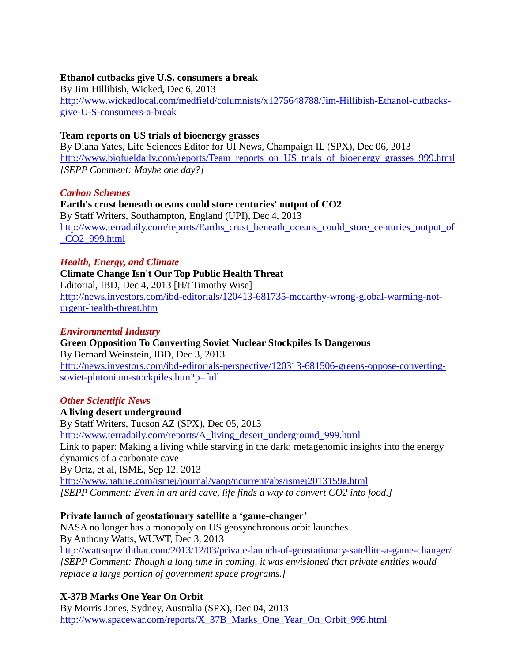## **Ethanol cutbacks give U.S. consumers a break**

By Jim Hillibish, Wicked, Dec 6, 2013 [http://www.wickedlocal.com/medfield/columnists/x1275648788/Jim-Hillibish-Ethanol-cutbacks](http://www.wickedlocal.com/medfield/columnists/x1275648788/Jim-Hillibish-Ethanol-cutbacks-give-U-S-consumers-a-break)[give-U-S-consumers-a-break](http://www.wickedlocal.com/medfield/columnists/x1275648788/Jim-Hillibish-Ethanol-cutbacks-give-U-S-consumers-a-break)

#### **Team reports on US trials of bioenergy grasses**

By Diana Yates, Life Sciences Editor for UI News, Champaign IL (SPX), Dec 06, 2013 [http://www.biofueldaily.com/reports/Team\\_reports\\_on\\_US\\_trials\\_of\\_bioenergy\\_grasses\\_999.html](http://www.biofueldaily.com/reports/Team_reports_on_US_trials_of_bioenergy_grasses_999.html) *[SEPP Comment: Maybe one day?]*

#### *Carbon Schemes*

**Earth's crust beneath oceans could store centuries' output of CO2** By Staff Writers, Southampton, England (UPI), Dec 4, 2013 [http://www.terradaily.com/reports/Earths\\_crust\\_beneath\\_oceans\\_could\\_store\\_centuries\\_output\\_of](http://www.terradaily.com/reports/Earths_crust_beneath_oceans_could_store_centuries_output_of_CO2_999.html) [\\_CO2\\_999.html](http://www.terradaily.com/reports/Earths_crust_beneath_oceans_could_store_centuries_output_of_CO2_999.html)

#### *Health, Energy, and Climate*

**Climate Change Isn't Our Top Public Health Threat** Editorial, IBD, Dec 4, 2013 [H/t Timothy Wise] [http://news.investors.com/ibd-editorials/120413-681735-mccarthy-wrong-global-warming-not](http://news.investors.com/ibd-editorials/120413-681735-mccarthy-wrong-global-warming-not-urgent-health-threat.htm)[urgent-health-threat.htm](http://news.investors.com/ibd-editorials/120413-681735-mccarthy-wrong-global-warming-not-urgent-health-threat.htm)

#### *Environmental Industry*

**Green Opposition To Converting Soviet Nuclear Stockpiles Is Dangerous** By Bernard Weinstein, IBD, Dec 3, 2013 [http://news.investors.com/ibd-editorials-perspective/120313-681506-greens-oppose-converting](http://news.investors.com/ibd-editorials-perspective/120313-681506-greens-oppose-converting-soviet-plutonium-stockpiles.htm?p=full)[soviet-plutonium-stockpiles.htm?p=full](http://news.investors.com/ibd-editorials-perspective/120313-681506-greens-oppose-converting-soviet-plutonium-stockpiles.htm?p=full)

## *Other Scientific News*

**A living desert underground** By Staff Writers, Tucson AZ (SPX), Dec 05, 2013 [http://www.terradaily.com/reports/A\\_living\\_desert\\_underground\\_999.html](http://www.terradaily.com/reports/A_living_desert_underground_999.html) Link to paper: Making a living while starving in the dark: metagenomic insights into the energy dynamics of a carbonate cave By Ortz, et al, ISME, Sep 12, 2013 <http://www.nature.com/ismej/journal/vaop/ncurrent/abs/ismej2013159a.html> *[SEPP Comment: Even in an arid cave, life finds a way to convert CO2 into food.]*

## **Private launch of geostationary satellite a 'game-changer'**

NASA no longer has a monopoly on US geosynchronous orbit launches By Anthony Watts, WUWT, Dec 3, 2013 <http://wattsupwiththat.com/2013/12/03/private-launch-of-geostationary-satellite-a-game-changer/> *[SEPP Comment: Though a long time in coming, it was envisioned that private entities would replace a large portion of government space programs.]*

## **X-37B Marks One Year On Orbit**

By Morris Jones, Sydney, Australia (SPX), Dec 04, 2013 [http://www.spacewar.com/reports/X\\_37B\\_Marks\\_One\\_Year\\_On\\_Orbit\\_999.html](http://www.spacewar.com/reports/X_37B_Marks_One_Year_On_Orbit_999.html)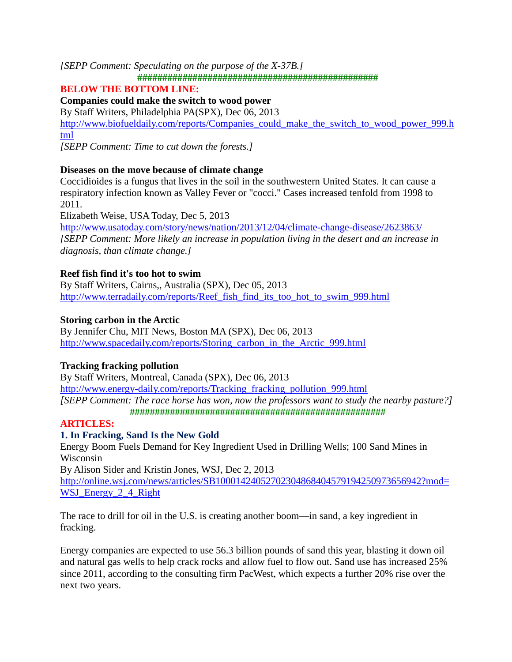## *[SEPP Comment: Speculating on the purpose of the X-37B.]* **################################################**

## **BELOW THE BOTTOM LINE:**

**Companies could make the switch to wood power**

By Staff Writers, Philadelphia PA(SPX), Dec 06, 2013

[http://www.biofueldaily.com/reports/Companies\\_could\\_make\\_the\\_switch\\_to\\_wood\\_power\\_999.h](http://www.biofueldaily.com/reports/Companies_could_make_the_switch_to_wood_power_999.html) [tml](http://www.biofueldaily.com/reports/Companies_could_make_the_switch_to_wood_power_999.html)

*[SEPP Comment: Time to cut down the forests.]*

## **Diseases on the move because of climate change**

Coccidioides is a fungus that lives in the soil in the southwestern United States. It can cause a respiratory infection known as Valley Fever or "cocci." Cases increased tenfold from 1998 to 2011.

Elizabeth Weise, USA Today, Dec 5, 2013

<http://www.usatoday.com/story/news/nation/2013/12/04/climate-change-disease/2623863/> *[SEPP Comment: More likely an increase in population living in the desert and an increase in diagnosis, than climate change.]*

## **Reef fish find it's too hot to swim**

By Staff Writers, Cairns,, Australia (SPX), Dec 05, 2013 [http://www.terradaily.com/reports/Reef\\_fish\\_find\\_its\\_too\\_hot\\_to\\_swim\\_999.html](http://www.terradaily.com/reports/Reef_fish_find_its_too_hot_to_swim_999.html)

## **Storing carbon in the Arctic**

By Jennifer Chu, MIT News, Boston MA (SPX), Dec 06, 2013 [http://www.spacedaily.com/reports/Storing\\_carbon\\_in\\_the\\_Arctic\\_999.html](http://www.spacedaily.com/reports/Storing_carbon_in_the_Arctic_999.html)

## **Tracking fracking pollution**

By Staff Writers, Montreal, Canada (SPX), Dec 06, 2013 [http://www.energy-daily.com/reports/Tracking\\_fracking\\_pollution\\_999.html](http://www.energy-daily.com/reports/Tracking_fracking_pollution_999.html) *[SEPP Comment: The race horse has won, now the professors want to study the nearby pasture?]* **###################################################**

## **ARTICLES:**

## **1. In Fracking, Sand Is the New Gold**

Energy Boom Fuels Demand for Key Ingredient Used in Drilling Wells; 100 Sand Mines in Wisconsin By Alison Sider and Kristin Jones, WSJ, Dec 2, 2013 [http://online.wsj.com/news/articles/SB10001424052702304868404579194250973656942?mod=](http://online.wsj.com/news/articles/SB10001424052702304868404579194250973656942?mod=WSJ_Energy_2_4_Right) WSJ Energy 2 4 Right

The race to drill for oil in the U.S. is creating another boom—in sand, a key ingredient in fracking.

Energy companies are expected to use 56.3 billion pounds of sand this year, blasting it down oil and natural gas wells to help crack rocks and allow fuel to flow out. Sand use has increased 25% since 2011, according to the consulting firm PacWest, which expects a further 20% rise over the next two years.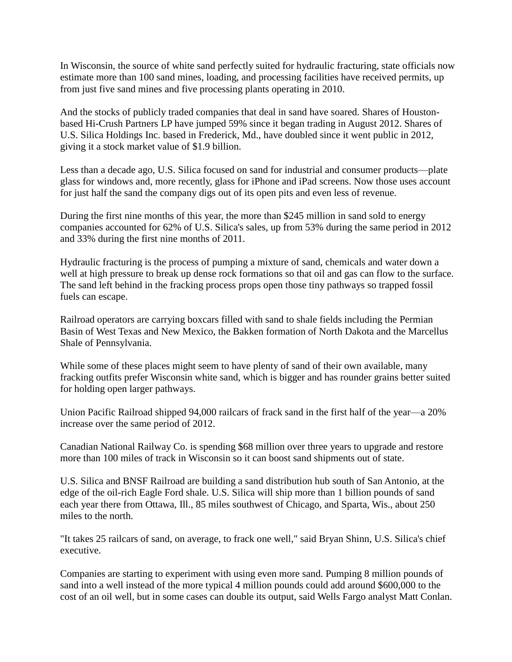In Wisconsin, the source of white sand perfectly suited for hydraulic fracturing, state officials now estimate more than 100 sand mines, loading, and processing facilities have received permits, up from just five sand mines and five processing plants operating in 2010.

And the stocks of publicly traded companies that deal in sand have soared. Shares of Houstonbased Hi-Crush Partners LP have jumped 59% since it began trading in August 2012. Shares of U.S. Silica Holdings Inc. based in Frederick, Md., have doubled since it went public in 2012, giving it a stock market value of \$1.9 billion.

Less than a decade ago, U.S. Silica focused on sand for industrial and consumer products—plate glass for windows and, more recently, glass for iPhone and iPad screens. Now those uses account for just half the sand the company digs out of its open pits and even less of revenue.

During the first nine months of this year, the more than \$245 million in sand sold to energy companies accounted for 62% of U.S. Silica's sales, up from 53% during the same period in 2012 and 33% during the first nine months of 2011.

Hydraulic fracturing is the process of pumping a mixture of sand, chemicals and water down a well at high pressure to break up dense rock formations so that oil and gas can flow to the surface. The sand left behind in the fracking process props open those tiny pathways so trapped fossil fuels can escape.

Railroad operators are carrying boxcars filled with sand to shale fields including the Permian Basin of West Texas and New Mexico, the Bakken formation of North Dakota and the Marcellus Shale of Pennsylvania.

While some of these places might seem to have plenty of sand of their own available, many fracking outfits prefer Wisconsin white sand, which is bigger and has rounder grains better suited for holding open larger pathways.

Union Pacific Railroad shipped 94,000 railcars of frack sand in the first half of the year—a 20% increase over the same period of 2012.

Canadian National Railway Co. is spending \$68 million over three years to upgrade and restore more than 100 miles of track in Wisconsin so it can boost sand shipments out of state.

U.S. Silica and BNSF Railroad are building a sand distribution hub south of San Antonio, at the edge of the oil-rich Eagle Ford shale. U.S. Silica will ship more than 1 billion pounds of sand each year there from Ottawa, Ill., 85 miles southwest of Chicago, and Sparta, Wis., about 250 miles to the north.

"It takes 25 railcars of sand, on average, to frack one well," said Bryan Shinn, U.S. Silica's chief executive.

Companies are starting to experiment with using even more sand. Pumping 8 million pounds of sand into a well instead of the more typical 4 million pounds could add around \$600,000 to the cost of an oil well, but in some cases can double its output, said Wells Fargo analyst Matt Conlan.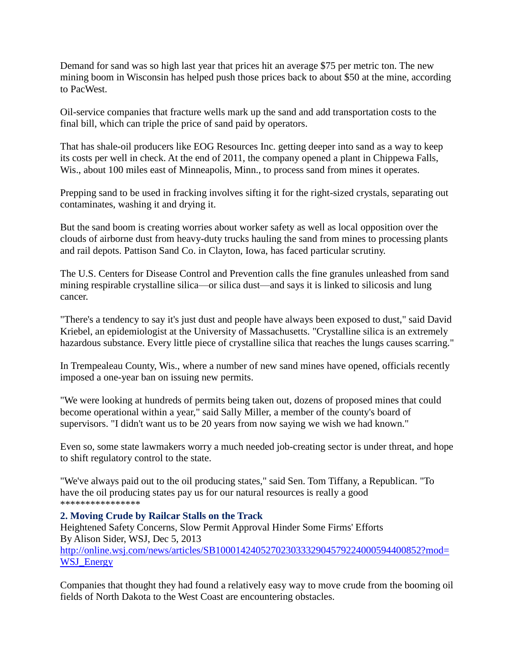Demand for sand was so high last year that prices hit an average \$75 per metric ton. The new mining boom in Wisconsin has helped push those prices back to about \$50 at the mine, according to PacWest.

Oil-service companies that fracture wells mark up the sand and add transportation costs to the final bill, which can triple the price of sand paid by operators.

That has shale-oil producers like EOG Resources Inc. getting deeper into sand as a way to keep its costs per well in check. At the end of 2011, the company opened a plant in Chippewa Falls, Wis., about 100 miles east of Minneapolis, Minn., to process sand from mines it operates.

Prepping sand to be used in fracking involves sifting it for the right-sized crystals, separating out contaminates, washing it and drying it.

But the sand boom is creating worries about worker safety as well as local opposition over the clouds of airborne dust from heavy-duty trucks hauling the sand from mines to processing plants and rail depots. Pattison Sand Co. in Clayton, Iowa, has faced particular scrutiny.

The U.S. Centers for Disease Control and Prevention calls the fine granules unleashed from sand mining respirable crystalline silica—or silica dust—and says it is linked to silicosis and lung cancer.

"There's a tendency to say it's just dust and people have always been exposed to dust," said David Kriebel, an epidemiologist at the University of Massachusetts. "Crystalline silica is an extremely hazardous substance. Every little piece of crystalline silica that reaches the lungs causes scarring."

In Trempealeau County, Wis., where a number of new sand mines have opened, officials recently imposed a one-year ban on issuing new permits.

"We were looking at hundreds of permits being taken out, dozens of proposed mines that could become operational within a year," said Sally Miller, a member of the county's board of supervisors. "I didn't want us to be 20 years from now saying we wish we had known."

Even so, some state lawmakers worry a much needed job-creating sector is under threat, and hope to shift regulatory control to the state.

"We've always paid out to the oil producing states," said Sen. Tom Tiffany, a Republican. "To have the oil producing states pay us for our natural resources is really a good \*\*\*\*\*\*\*\*\*\*\*\*\*\*\*\*

**2. Moving Crude by Railcar Stalls on the Track** Heightened Safety Concerns, Slow Permit Approval Hinder Some Firms' Efforts By Alison Sider, WSJ, Dec 5, 2013 [http://online.wsj.com/news/articles/SB10001424052702303332904579224000594400852?mod=](http://online.wsj.com/news/articles/SB10001424052702303332904579224000594400852?mod=WSJ_Energy) [WSJ\\_Energy](http://online.wsj.com/news/articles/SB10001424052702303332904579224000594400852?mod=WSJ_Energy)

Companies that thought they had found a relatively easy way to move crude from the booming oil fields of North Dakota to the West Coast are encountering obstacles.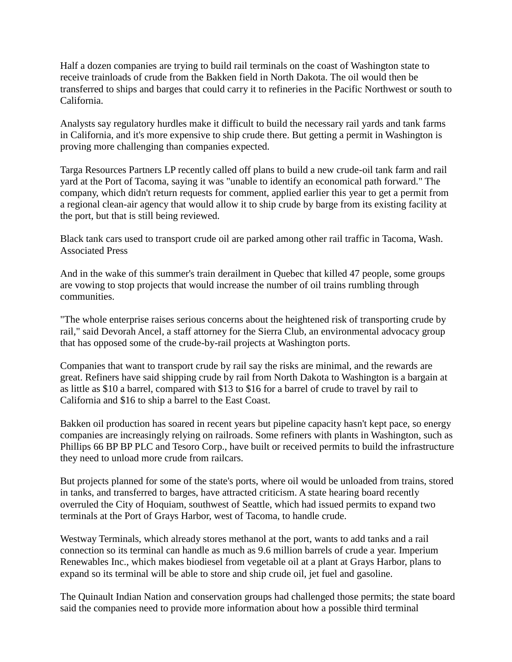Half a dozen companies are trying to build rail terminals on the coast of Washington state to receive trainloads of crude from the Bakken field in North Dakota. The oil would then be transferred to ships and barges that could carry it to refineries in the Pacific Northwest or south to California.

Analysts say regulatory hurdles make it difficult to build the necessary rail yards and tank farms in California, and it's more expensive to ship crude there. But getting a permit in Washington is proving more challenging than companies expected.

Targa Resources Partners LP recently called off plans to build a new crude-oil tank farm and rail yard at the Port of Tacoma, saying it was "unable to identify an economical path forward." The company, which didn't return requests for comment, applied earlier this year to get a permit from a regional clean-air agency that would allow it to ship crude by barge from its existing facility at the port, but that is still being reviewed.

Black tank cars used to transport crude oil are parked among other rail traffic in Tacoma, Wash. Associated Press

And in the wake of this summer's train derailment in Quebec that killed 47 people, some groups are vowing to stop projects that would increase the number of oil trains rumbling through communities.

"The whole enterprise raises serious concerns about the heightened risk of transporting crude by rail," said Devorah Ancel, a staff attorney for the Sierra Club, an environmental advocacy group that has opposed some of the crude-by-rail projects at Washington ports.

Companies that want to transport crude by rail say the risks are minimal, and the rewards are great. Refiners have said shipping crude by rail from North Dakota to Washington is a bargain at as little as \$10 a barrel, compared with \$13 to \$16 for a barrel of crude to travel by rail to California and \$16 to ship a barrel to the East Coast.

Bakken oil production has soared in recent years but pipeline capacity hasn't kept pace, so energy companies are increasingly relying on railroads. Some refiners with plants in Washington, such as Phillips 66 BP BP PLC and Tesoro Corp., have built or received permits to build the infrastructure they need to unload more crude from railcars.

But projects planned for some of the state's ports, where oil would be unloaded from trains, stored in tanks, and transferred to barges, have attracted criticism. A state hearing board recently overruled the City of Hoquiam, southwest of Seattle, which had issued permits to expand two terminals at the Port of Grays Harbor, west of Tacoma, to handle crude.

Westway Terminals, which already stores methanol at the port, wants to add tanks and a rail connection so its terminal can handle as much as 9.6 million barrels of crude a year. Imperium Renewables Inc., which makes biodiesel from vegetable oil at a plant at Grays Harbor, plans to expand so its terminal will be able to store and ship crude oil, jet fuel and gasoline.

The Quinault Indian Nation and conservation groups had challenged those permits; the state board said the companies need to provide more information about how a possible third terminal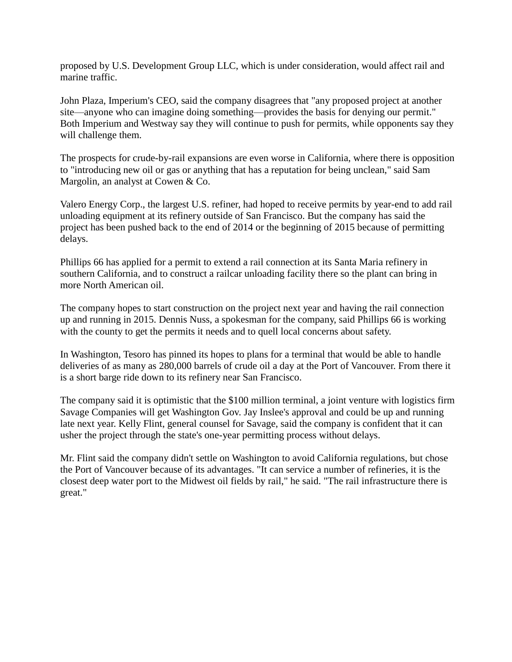proposed by U.S. Development Group LLC, which is under consideration, would affect rail and marine traffic.

John Plaza, Imperium's CEO, said the company disagrees that "any proposed project at another site—anyone who can imagine doing something—provides the basis for denying our permit." Both Imperium and Westway say they will continue to push for permits, while opponents say they will challenge them.

The prospects for crude-by-rail expansions are even worse in California, where there is opposition to "introducing new oil or gas or anything that has a reputation for being unclean," said Sam Margolin, an analyst at Cowen & Co.

Valero Energy Corp., the largest U.S. refiner, had hoped to receive permits by year-end to add rail unloading equipment at its refinery outside of San Francisco. But the company has said the project has been pushed back to the end of 2014 or the beginning of 2015 because of permitting delays.

Phillips 66 has applied for a permit to extend a rail connection at its Santa Maria refinery in southern California, and to construct a railcar unloading facility there so the plant can bring in more North American oil.

The company hopes to start construction on the project next year and having the rail connection up and running in 2015. Dennis Nuss, a spokesman for the company, said Phillips 66 is working with the county to get the permits it needs and to quell local concerns about safety.

In Washington, Tesoro has pinned its hopes to plans for a terminal that would be able to handle deliveries of as many as 280,000 barrels of crude oil a day at the Port of Vancouver. From there it is a short barge ride down to its refinery near San Francisco.

The company said it is optimistic that the \$100 million terminal, a joint venture with logistics firm Savage Companies will get Washington Gov. Jay Inslee's approval and could be up and running late next year. Kelly Flint, general counsel for Savage, said the company is confident that it can usher the project through the state's one-year permitting process without delays.

Mr. Flint said the company didn't settle on Washington to avoid California regulations, but chose the Port of Vancouver because of its advantages. "It can service a number of refineries, it is the closest deep water port to the Midwest oil fields by rail," he said. "The rail infrastructure there is great."